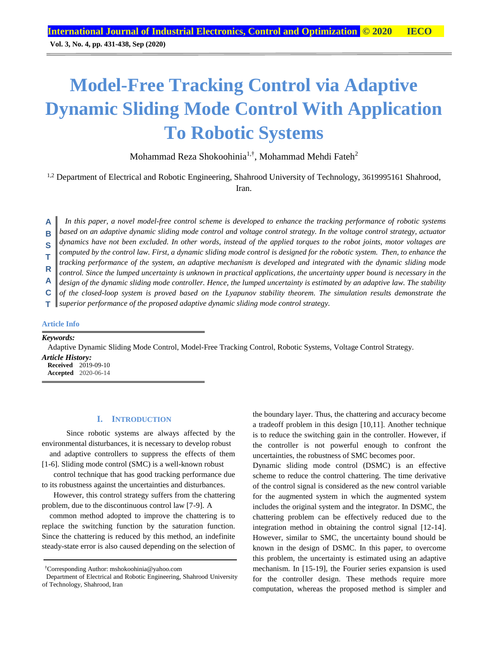**Vol. 3, No. 4, pp. 431-438, Sep (2020)**

# **Model-Free Tracking Control via Adaptive Dynamic Sliding Mode Control With Application To Robotic Systems**

Mohammad Reza Shokoohinia<sup>1,†</sup>, Mohammad Mehdi Fateh<sup>2</sup>

<sup>1,2</sup> Department of Electrical and Robotic Engineering, Shahrood University of Technology, 3619995161 Shahrood, Iran.

*In this paper, a novel model-free control scheme is developed to enhance the tracking performance of robotic systems based on an adaptive dynamic sliding mode control and voltage control strategy. In the voltage control strategy, actuator dynamics have not been excluded. In other words, instead of the applied torques to the robot joints, motor voltages are computed by the control law. First, a dynamic sliding mode control is designed for the robotic system. Then, to enhance the tracking performance of the system, an adaptive mechanism is developed and integrated with the dynamic sliding mode control. Since the lumped uncertainty is unknown in practical applications, the uncertainty upper bound is necessary in the design of the dynamic sliding mode controller. Hence, the lumped uncertainty is estimated by an adaptive law. The stability of the closed-loop system is proved based on the Lyapunov stability theorem. The simulation results demonstrate the*  **A B S T R A C**

*superior performance of the proposed adaptive dynamic sliding mode control strategy.* **T**

# **Article Info**

*Keywords:*

Adaptive Dynamic Sliding Mode Control, Model-Free Tracking Control, Robotic Systems, Voltage Control Strategy.

*Article History:* **Received** 2019-09-10 **Accepted** 2020-06-14

#### **I. INTRODUCTION**

 Since robotic systems are always affected by the environmental disturbances, it is necessary to develop robust

and adaptive controllers to suppress the effects of them [1-6]. Sliding mode control (SMC) is a well-known robust

control technique that has good tracking performance due to its robustness against the uncertainties and disturbances.

However, this control strategy suffers from the chattering problem, due to the discontinuous control law [7-9]. A

common method adopted to improve the chattering is to replace the switching function by the saturation function. Since the chattering is reduced by this method, an indefinite steady-state error is also caused depending on the selection of the boundary layer. Thus, the chattering and accuracy become a tradeoff problem in this design [10,11]. Another technique is to reduce the switching gain in the controller. However, if the controller is not powerful enough to confront the uncertainties, the robustness of SMC becomes poor.

Dynamic sliding mode control (DSMC) is an effective scheme to reduce the control chattering. The time derivative of the control signal is considered as the new control variable for the augmented system in which the augmented system includes the original system and the integrator. In DSMC, the chattering problem can be effectively reduced due to the integration method in obtaining the control signal [12-14]. However, similar to SMC, the uncertainty bound should be known in the design of DSMC. In this paper, to overcome this problem, the uncertainty is estimated using an adaptive mechanism. In [15-19], the Fourier series expansion is used for the controller design. These methods require more computation, whereas the proposed method is simpler and

<sup>†</sup>Corresponding Author: mshokoohinia@yahoo.com

Department of Electrical and Robotic Engineering, Shahrood University of Technology, Shahrood, Iran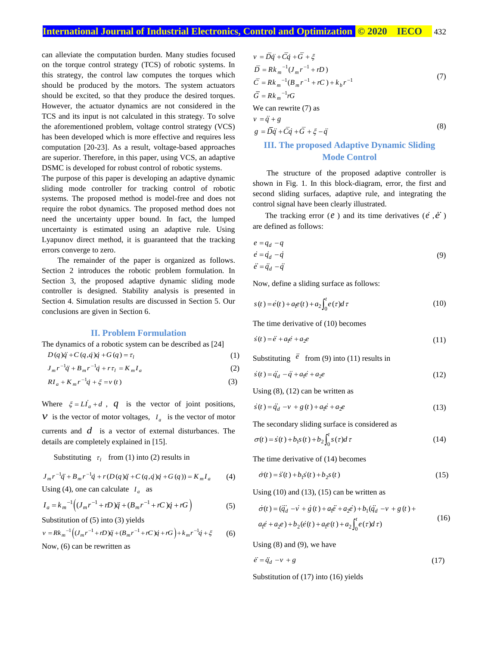can alleviate the computation burden. Many studies focused on the torque control strategy (TCS) of robotic systems. In this strategy, the control law computes the torques which should be produced by the motors. The system actuators should be excited, so that they produce the desired torques. However, the actuator dynamics are not considered in the TCS and its input is not calculated in this strategy. To solve the aforementioned problem, voltage control strategy (VCS) has been developed which is more effective and requires less computation [20-23]. As a result, voltage-based approaches are superior. Therefore, in this paper, using VCS, an adaptive DSMC is developed for robust control of robotic systems.

The purpose of this paper is developing an adaptive dynamic sliding mode controller for tracking control of robotic systems. The proposed method is model-free and does not require the robot dynamics. The proposed method does not need the uncertainty upper bound. In fact, the lumped uncertainty is estimated using an adaptive rule. Using Lyapunov direct method, it is guaranteed that the tracking errors converge to zero.

 The remainder of the paper is organized as follows. Section 2 introduces the robotic problem formulation. In Section 3, the proposed adaptive dynamic sliding mode controller is designed. Stability analysis is presented in Section 4. Simulation results are discussed in Section 5. Our conclusions are given in Section 6.

#### **II. Problem Formulation**

The dynamics of a robotic system can be described as [24]

$$
D(q)\ddot{q} + C(q,\dot{q})\dot{q} + G(q) = \tau_l \tag{1}
$$

 $J_m r^{-1} \ddot{q} + B_m r^{-1} \dot{q} + r \tau_l = K_m I_a$ (2)

$$
RI_a + K_m r^{-1} \dot{q} + \xi = v(t)
$$
\n<sup>(3)</sup>

Where  $\xi = LI_a + d$ ,  $q$  is the vector of joint positions, *v* is the vector of motor voltages,  $I_a$  is the vector of motor currents and *d* is a vector of external disturbances. The details are completely explained in [15].

Substituting  $\tau_l$  from (1) into (2) results in

$$
J_m r^{-1} \ddot{q} + B_m r^{-1} \dot{q} + r(D(q)\ddot{q} + C(q,\dot{q})\dot{q} + G(q)) = K_m I_a
$$
 (4)  
Using (4), one can calculate  $I_a$  as

$$
I_a = k_m^{-1} \Big( (J_m r^{-1} + rD) \ddot{q} + (B_m r^{-1} + rC) \dot{q} + rG \Big)
$$
 (5)

Substitution of (5) into (3) yields

$$
v = Rk_m^{-1} \Big( (J_m r^{-1} + rD) \ddot{q} + (B_m r^{-1} + rC) \dot{q} + rG \Big) + k_m r^{-1} \dot{q} + \xi \tag{6}
$$

Now, (6) can be rewritten as

$$
v = D\ddot{q} + C\dot{q} + G + \xi
$$
  
\n
$$
\overline{D} = Rk_m^{-1}(J_m r^{-1} + rD)
$$
  
\n
$$
\overline{C} = Rk_m^{-1}(B_m r^{-1} + rC) + k_b r^{-1}
$$
  
\n
$$
\overline{G} = Rk_m^{-1} rG
$$
  
\nWe can rewrite (7) as  
\n
$$
v = \ddot{q} + g
$$
  
\n
$$
g = \overline{D}\ddot{q} + \overline{C}\dot{q} + \overline{G} + \xi - \ddot{q}
$$
\n(8)

# **III. The proposed Adaptive Dynamic Sliding Mode Control**

 The structure of the proposed adaptive controller is shown in Fig. 1. In this block-diagram, error, the first and second sliding surfaces, adaptive rule, and integrating the control signal have been clearly illustrated.

The tracking error  $(e)$  and its time derivatives  $(e, \vec{e})$ are defined as follows:

$$
e = q_d - q
$$
  
\n
$$
\dot{e} = \dot{q}_d - \dot{q}
$$
  
\n
$$
\ddot{e} = \ddot{q}_d - \ddot{q}
$$
\n(9)

Now, define a sliding surface as follows:

$$
s(t) = \dot{e}(t) + a_1 e(t) + a_2 \int_0^t e(\tau) d\tau
$$
\n(10)

The time derivative of (10) becomes

$$
\dot{s}(t) = \ddot{e} + a_1 \dot{e} + a_2 e \tag{11}
$$

Substituting  $e$  from (9) into (11) results in

$$
s(t) = \ddot{q}_d - \ddot{q} + a_1 \dot{e} + a_2 \dot{e}
$$
 (12)

Using (8), (12) can be written as

$$
\dot{s}(t) = \ddot{q}_d - v + g(t) + a_1 e + a_2 e \tag{13}
$$

The secondary sliding surface is considered as

$$
\sigma(t) = s(t) + b_1 s(t) + b_2 \int_0^t s(\tau) d\tau \tag{14}
$$

The time derivative of (14) becomes

$$
\dot{\sigma}(t) = \dot{s}(t) + b_1 \dot{s}(t) + b_2 s(t)
$$
\n(15)

Using  $(10)$  and  $(13)$ ,  $(15)$  can be written as

$$
\dot{\sigma}(t) = (\ddot{q}_d - v + g(t) + a_1 \ddot{e} + a_2 \dot{e}) + b_1 (\ddot{q}_d - v + g(t) + a_1 \dot{e} + a_2 e) + b_2 (\dot{e}(t) + a_1 \dot{e}(t) + a_2 \int_0^t e(\tau) d\tau)
$$
\n(16)

Using  $(8)$  and  $(9)$ , we have

$$
\ddot{e} = \ddot{q}_d - v + g \tag{17}
$$

Substitution of (17) into (16) yields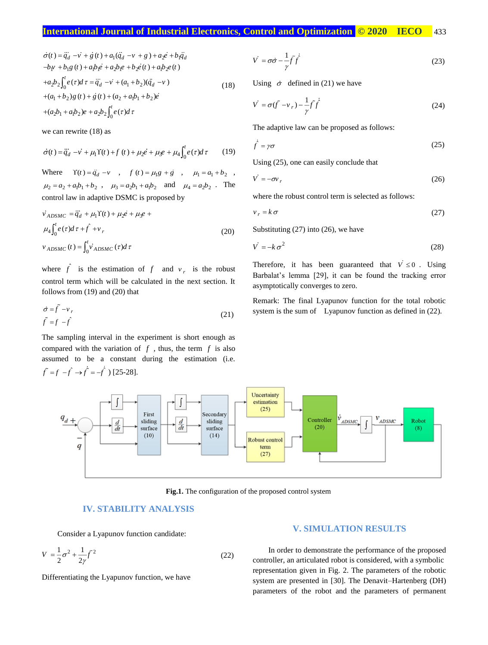$$
\sigma(t) = q_d - v + g(t) + a_1(q_d - v + g) + a_2e + b_1q_d
$$
  
\n
$$
-b_1v + b_1g(t) + a_1b_1e + a_2b_1e + b_2e(t) + a_1b_2e(t)
$$
  
\n
$$
+a_2b_2 \int_0^t e(\tau)d\tau = q_d - v + (a_1 + b_2)(\dot{q}_d - v)
$$
  
\n
$$
+ (a_1 + b_2)g(t) + g(t) + (a_2 + a_1b_1 + b_2)e
$$
  
\n
$$
+ (a_2b_1 + a_1b_2)e + a_2b_2 \int_0^t e(\tau)d\tau
$$
\n(18)

we can rewrite (18) as

$$
\dot{\sigma}(t) = \ddot{q}_d - \dot{v} + \mu_1 \Upsilon(t) + f(t) + \mu_2 \dot{e} + \mu_3 e + \mu_4 \int_0^t e(\tau) d\tau \tag{19}
$$

Where  $\Upsilon(t) = \ddot{q}_d - v$ ,  $f(t) = \mu_1 g + g$ ,  $\mu_1 = a_1 + b_2$ ,  $\mu_2 = a_2 + a_1 b_1 + b_2$ ,  $\mu_3 = a_2 b_1 + a_1 b_2$  and  $\mu_4 = a_2 b_2$ . The control law in adaptive DSMC is proposed by

$$
\begin{aligned}\n\dot{v}_{ADSMC} &= \ddot{q}_d + \mu_1 \Upsilon(t) + \mu_2 \dot{e} + \mu_3 e + \\
\mu_4 \int_0^t e(\tau) d\tau + \hat{f} + v_r \\
v_{ADSMC}(t) &= \int_0^t \dot{v}_{ADSMC}(\tau) d\tau\n\end{aligned} \tag{20}
$$

where  $\hat{f}$  is the estimation of  $f$  and  $v_r$  is the robust control term which will be calculated in the next section. It follows from (19) and (20) that

$$
\dot{\sigma} = \tilde{f} - v_r
$$
  
\n
$$
\tilde{f} = f - \hat{f}
$$
\n(21)

The sampling interval in the experiment is short enough as compared with the variation of  $f$ , thus, the term  $f$  is also assumed to be a constant during the estimation (i.e.  $\tilde{f} = f - \hat{f} \rightarrow \tilde{f} = -\hat{f}$ ) [25-28].

$$
\dot{V} = \sigma \dot{\sigma} - \frac{1}{\gamma} \dot{f} \dot{f}
$$
\n(23)

Using  $\dot{\sigma}$  defined in (21) we have

$$
\dot{V} = \sigma(\tilde{f} - v_r) - \frac{1}{\gamma} \tilde{f} \dot{\tilde{f}} \tag{24}
$$

The adaptive law can be proposed as follows:

$$
\dot{\hat{f}} = \gamma \sigma \tag{25}
$$

Using (25), one can easily conclude that

$$
\dot{V} = -\sigma v_r \tag{26}
$$

where the robust control term is selected as follows:

$$
v_r = k \sigma \tag{27}
$$

Substituting (27) into (26), we have

$$
V = -k \sigma^2 \tag{28}
$$

Therefore, it has been guaranteed that  $V \le 0$ . Using Barbalat's lemma [29], it can be found the tracking error asymptotically converges to zero.

Remark: The final Lyapunov function for the total robotic system is the sum of Lyapunov function as defined in  $(22)$ .



**Fig.1.** The configuration of the proposed control system

## **IV. STABILITY ANALYSIS**

Consider a Lyapunov function candidate:

$$
V = \frac{1}{2}\sigma^2 + \frac{1}{2\gamma}\tilde{f}^2
$$
 (22)

Differentiating the Lyapunov function, we have

#### **V. SIMULATION RESULTS**

 In order to demonstrate the performance of the proposed controller, an articulated robot is considered, with a symbolic representation given in Fig. 2. The parameters of the robotic system are presented in [30]. The Denavit–Hartenberg (DH) parameters of the robot and the parameters of permanent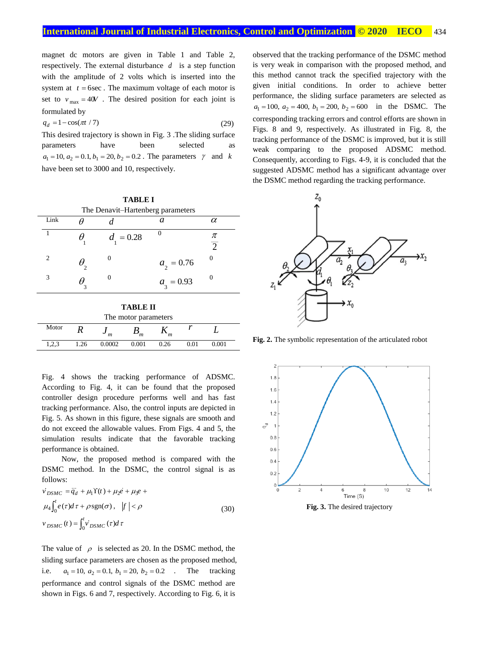magnet dc motors are given in Table 1 and Table 2, respectively. The external disturbance *d* is a step function with the amplitude of 2 volts which is inserted into the system at  $t = 6$ sec. The maximum voltage of each motor is set to  $v_{\text{max}} = 40V$ . The desired position for each joint is formulated by

$$
q_d = 1 - \cos(\pi t / 7) \tag{29}
$$

This desired trajectory is shown in Fig. 3 .The sliding surface parameters have been selected as  $a_1 = 10, a_2 = 0.1, b_1 = 20, b_2 = 0.2$ . The parameters  $\gamma$  and k have been set to 3000 and 10, respectively.

| <b>TABLE I</b>                    |                |   |                |                |                     |  |  |  |  |  |
|-----------------------------------|----------------|---|----------------|----------------|---------------------|--|--|--|--|--|
| The Denavit-Hartenberg parameters |                |   |                |                |                     |  |  |  |  |  |
|                                   | Link           |   |                | а              | $\alpha$            |  |  |  |  |  |
|                                   |                | н | $d_{1} = 0.28$ | $\Omega$       | π<br>$\overline{2}$ |  |  |  |  |  |
|                                   | $\mathfrak{D}$ |   |                | $a_{2} = 0.76$ |                     |  |  |  |  |  |
|                                   | 3              |   |                | $a_{3} = 0.93$ | 0                   |  |  |  |  |  |
|                                   |                |   |                |                |                     |  |  |  |  |  |

| TABLE II             |      |        |       |      |      |       |  |  |  |  |
|----------------------|------|--------|-------|------|------|-------|--|--|--|--|
| The motor parameters |      |        |       |      |      |       |  |  |  |  |
| Motor                |      | m      | m     |      |      |       |  |  |  |  |
| 1,2,3                | 1.26 | 0.0002 | 0.001 | 0.26 | 0.01 | 0.001 |  |  |  |  |

Fig. 4 shows the tracking performance of ADSMC. According to Fig. 4, it can be found that the proposed controller design procedure performs well and has fast tracking performance. Also, the control inputs are depicted in Fig. 5. As shown in this figure, these signals are smooth and do not exceed the allowable values. From Figs. 4 and 5, the simulation results indicate that the favorable tracking performance is obtained.

 Now, the proposed method is compared with the DSMC method. In the DSMC, the control signal is as follows:

$$
\dot{v}_{DSMC} = \ddot{q}_d + \mu_1 \Upsilon(t) + \mu_2 \dot{e} + \mu_3 e +
$$
  
\n
$$
\mu_4 \int_0^t e(\tau) d\tau + \rho \operatorname{sgn}(\sigma), \quad |f| < \rho
$$
  
\n
$$
v_{DSMC}(t) = \int_0^t v_{DSMC}(\tau) d\tau
$$
\n(30)

The value of  $\rho$  is selected as 20. In the DSMC method, the sliding surface parameters are chosen as the proposed method, i.e.  $a_1 = 10$ ,  $a_2 = 0.1$ ,  $b_1 = 20$ ,  $b_2 = 0.2$  . The tracking performance and control signals of the DSMC method are shown in Figs. 6 and 7, respectively. According to Fig. 6, it is

observed that the tracking performance of the DSMC method is very weak in comparison with the proposed method, and this method cannot track the specified trajectory with the given initial conditions. In order to achieve better performance, the sliding surface parameters are selected as  $a_1 = 100$ ,  $a_2 = 400$ ,  $b_1 = 200$ ,  $b_2 = 600$  in the DSMC. The corresponding tracking errors and control efforts are shown in Figs. 8 and 9, respectively. As illustrated in Fig. 8, the tracking performance of the DSMC is improved, but it is still weak comparing to the proposed ADSMC method. Consequently, according to Figs. 4-9, it is concluded that the suggested ADSMC method has a significant advantage over the DSMC method regarding the tracking performance.



**Fig. 2.** The symbolic representation of the articulated robot



**Fig. 3.** The desired trajectory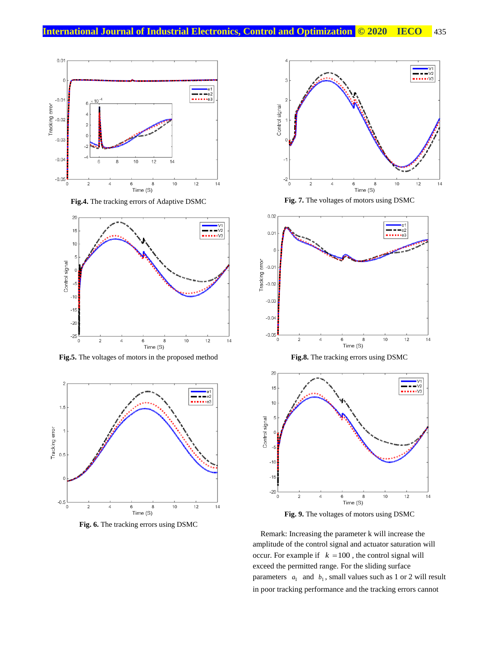

**Fig.4.** The tracking errors of Adaptive DSMC



**Fig.5.** The voltages of motors in the proposed method







**Fig. 7.** The voltages of motors using DSMC



**Fig. 9.** The voltages of motors using DSMC

Remark: Increasing the parameter k will increase the amplitude of the control signal and actuator saturation will occur. For example if  $k = 100$ , the control signal will exceed the permitted range. For the sliding surface parameters  $a_1$  and  $b_1$ , small values such as 1 or 2 will result in poor tracking performance and the tracking errors cannot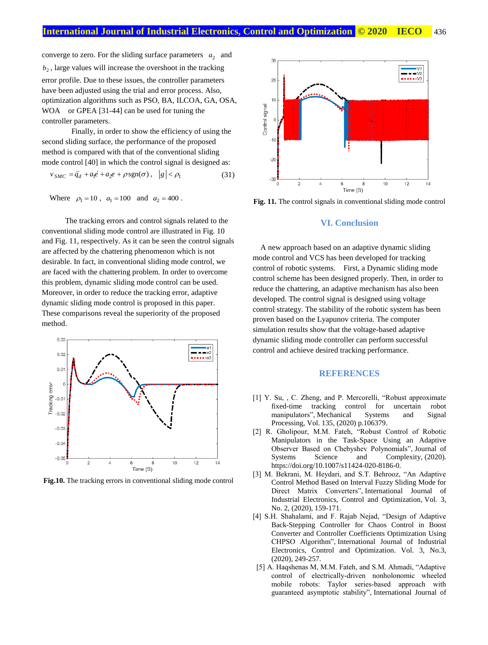converge to zero. For the sliding surface parameters  $a_2$  and  $b_2$ , large values will increase the overshoot in the tracking error profile. Due to these issues, the controller parameters have been adjusted using the trial and error process. Also, optimization algorithms such as PSO, BA, ILCOA, GA, OSA, WOA or GPEA [31-44] can be used for tuning the controller parameters.

 Finally, in order to show the efficiency of using the second sliding surface, the performance of the proposed method is compared with that of the conventional sliding mode control [40] in which the control signal is designed as:

$$
v_{SMC} = \ddot{q}_d + a_1 \dot{e} + a_2 \dot{e} + \rho \operatorname{sgn}(\sigma), \quad |g| < \rho_1 \tag{31}
$$

Where  $\rho_1 = 10$ ,  $a_1 = 100$  and  $a_2 = 400$ .

 The tracking errors and control signals related to the conventional sliding mode control are illustrated in Fig. 10 and Fig. 11, respectively. As it can be seen the control signals are affected by the chattering phenomenon which is not desirable. In fact, in conventional sliding mode control, we are faced with the chattering problem. In order to overcome this problem, dynamic sliding mode control can be used. Moreover, in order to reduce the tracking error, adaptive dynamic sliding mode control is proposed in this paper. These comparisons reveal the superiority of the proposed method.



**Fig.10.** The tracking errors in conventional sliding mode control



**Fig. 11.** The control signals in conventional sliding mode control

### **VI. Conclusion**

A new approach based on an adaptive dynamic sliding mode control and VCS has been developed for tracking control of robotic systems. First, a Dynamic sliding mode control scheme has been designed properly. Then, in order to reduce the chattering, an adaptive mechanism has also been developed. The control signal is designed using voltage control strategy. The stability of the robotic system has been proven based on the Lyapunov criteria. The computer simulation results show that the voltage-based adaptive dynamic sliding mode controller can perform successful control and achieve desired tracking performance.

### **REFERENCES**

- [1] Y. Su, , C. Zheng, and P. Mercorelli, "Robust approximate fixed-time tracking control for uncertain robot manipulators", Mechanical Systems and Signal Processing, Vol. 135, (2020) p.106379.
- [2] R. Gholipour, M.M. Fateh, "Robust Control of Robotic Manipulators in the Task-Space Using an Adaptive Observer Based on Chebyshev Polynomials", Journal of Systems Science and Complexity, (2020). https://doi.org/10.1007/s11424-020-8186-0.
- [3] M. Bekrani, M. Heydari, and S.T. Behrooz, "An Adaptive Control Method Based on Interval Fuzzy Sliding Mode for Direct Matrix Converters", International Journal of Industrial Electronics, Control and Optimization, Vol. 3, No. 2, (2020), 159-171.
- [4] S.H. Shahalami, and F. Rajab Nejad, "Design of Adaptive Back-Stepping Controller for Chaos Control in Boost Converter and Controller Coefficients Optimization Using CHPSO Algorithm", International Journal of Industrial Electronics, Control and Optimization. Vol. 3, No.3, (2020), 249-257.
- [5] A. Haqshenas M, M.M. Fateh, and S.M. Ahmadi, "Adaptive control of electrically‐driven nonholonomic wheeled mobile robots: Taylor series‐based approach with guaranteed asymptotic stability", International Journal of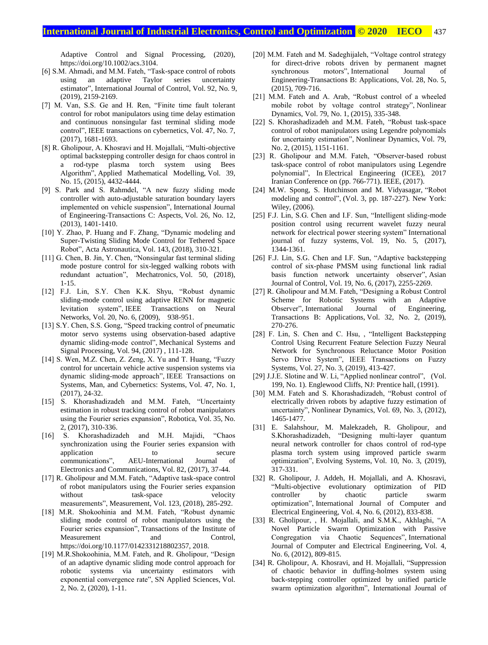## **International Journal of Industrial Electronics, Control and Optimization © 2020 IECO 437**

Adaptive Control and Signal Processing, (2020), https://doi.org/10.1002/acs.3104.

- [6] S.M. Ahmadi, and M.M. Fateh, "Task-space control of robots using an adaptive Taylor series uncertainty estimator", International Journal of Control, Vol. 92, No. 9, (2019), 2159-2169.
- [7] M. Van, S.S. Ge and H. Ren, "Finite time fault tolerant control for robot manipulators using time delay estimation and continuous nonsingular fast terminal sliding mode control", IEEE transactions on cybernetics, Vol. 47, No. 7, (2017), 1681-1693.
- [8] R. Gholipour, A. Khosravi and H. Mojallali, "Multi-objective optimal backstepping controller design for chaos control in a rod-type plasma torch system using Bees Algorithm", Applied Mathematical Modelling, Vol. 39, No. 15, (2015), 4432-4444.
- [9] S. Park and S. Rahmdel, "A new fuzzy sliding mode controller with auto-adjustable saturation boundary layers implemented on vehicle suspension", International Journal of Engineering-Transactions C: Aspects, Vol. 26, No. 12, (2013), 1401-1410.
- [10] Y. Zhao, P. Huang and F. Zhang, "Dynamic modeling and Super-Twisting Sliding Mode Control for Tethered Space Robot", Acta Astronautica, Vol. 143, (2018), 310-321.
- [11] G. Chen, B. Jin, Y. Chen, "Nonsingular fast terminal sliding mode posture control for six-legged walking robots with redundant actuation", Mechatronics, Vol. 50, (2018), 1-15.
- [12] F.J. Lin, S.Y. Chen K.K. Shyu, "Robust dynamic sliding-mode control using adaptive RENN for magnetic levitation system", IEEE Transactions on Neural Networks, Vol. 20, No. 6, (2009), 938-951.
- [13] S.Y. Chen, S.S. Gong, "Speed tracking control of pneumatic motor servo systems using observation-based adaptive dynamic sliding-mode control", Mechanical Systems and Signal Processing, Vol. 94, (2017) , 111-128.
- [14] S. Wen, M.Z. Chen, Z. Zeng, X. Yu and T. Huang, "Fuzzy control for uncertain vehicle active suspension systems via dynamic sliding-mode approach", IEEE Transactions on Systems, Man, and Cybernetics: Systems, Vol. 47, No. 1, (2017), 24-32.
- [15] S. Khorashadizadeh and M.M. Fateh, "Uncertainty estimation in robust tracking control of robot manipulators using the Fourier series expansion", Robotica, Vol. 35, No. 2, (2017), 310-336.
- [16] S. Khorashadizadeh and M.H. Majidi, "Chaos synchronization using the Fourier series expansion with application to secure communications", AEU-International Journal of Electronics and Communications, Vol. 82, (2017), 37-44.
- [17] R. Gholipour and M.M. Fateh, "Adaptive task-space control of robot manipulators using the Fourier series expansion without task-space velocity measurements", Measurement, Vol. 123, (2018), 285-292.
- [18] M.R. Shokoohinia and M.M. Fateh, "Robust dynamic sliding mode control of robot manipulators using the Fourier series expansion", Transactions of the Institute of Measurement and Control, https://doi.org/10.1177/0142331218802357, 2018.
- [19] M.R.Shokoohinia, M.M. Fateh, and R. Gholipour, "Design of an adaptive dynamic sliding mode control approach for robotic systems via uncertainty estimators with exponential convergence rate", SN Applied Sciences, Vol. 2, No. 2, (2020), 1-11.
- [20] M.M. Fateh and M. Sadeghijaleh, "Voltage control strategy for direct-drive robots driven by permanent magnet synchronous motors", International Journal of Engineering-Transactions B: Applications, Vol. 28, No. 5, (2015), 709-716.
- [21] M.M. Fateh and A. Arab, "Robust control of a wheeled mobile robot by voltage control strategy", Nonlinear Dynamics, Vol. 79, No. 1, (2015), 335-348.
- [22] S. Khorashadizadeh and M.M. Fateh, "Robust task-space control of robot manipulators using Legendre polynomials for uncertainty estimation", Nonlinear Dynamics, Vol. 79, No. 2, (2015), 1151-1161.
- [23] R. Gholipour and M.M. Fateh, "Observer-based robust task-space control of robot manipulators using Legendre polynomial", In Electrical Engineering (ICEE), 2017 Iranian Conference on (pp. 766-771). IEEE, (2017).
- [24] M.W. Spong, S. Hutchinson and M. Vidyasagar, "Robot modeling and control", (Vol. 3, pp. 187-227). New York: Wiley, (2006).
- [25] F.J. Lin, S.G. Chen and I.F. Sun, "Intelligent sliding-mode position control using recurrent wavelet fuzzy neural network for electrical power steering system" International journal of fuzzy systems, Vol. 19, No. 5, (2017), 1344-1361.
- [26] F.J. Lin, S.G. Chen and I.F. Sun, "Adaptive backstepping control of six‐phase PMSM using functional link radial basis function network uncertainty observer", Asian Journal of Control, Vol. 19, No. 6, (2017), 2255-2269.
- [27] R. Gholipour and M.M. Fateh, "Designing a Robust Control Scheme for Robotic Systems with an Adaptive Observer", International Journal of Engineering, Transactions B: Applications, Vol. 32, No. 2, (2019), 270-276.
- [28] F. Lin, S. Chen and C. Hsu, , "Intelligent Backstepping Control Using Recurrent Feature Selection Fuzzy Neural Network for Synchronous Reluctance Motor Position Servo Drive System", IEEE Transactions on Fuzzy Systems, Vol. 27, No. 3, (2019), 413-427.
- [29] J.J.E. Slotine and W. Li, "Applied nonlinear control", (Vol. 199, No. 1). Englewood Cliffs, NJ: Prentice hall, (1991).
- [30] M.M. Fateh and S. Khorashadizadeh, "Robust control of electrically driven robots by adaptive fuzzy estimation of uncertainty", Nonlinear Dynamics, Vol. 69, No. 3, (2012), 1465-1477.
- [31] E. Salahshour, M. Malekzadeh, R. Gholipour, and S.Khorashadizadeh, "Designing multi-layer quantum neural network controller for chaos control of rod-type plasma torch system using improved particle swarm optimization", Evolving Systems, Vol. 10, No. 3, (2019), 317-331.
- [32] R. Gholipour, J. Addeh, H. Mojallali, and A. Khosravi, "Multi-objective evolutionary optimization of PID controller by chaotic particle swarm optimization", International Journal of Computer and Electrical Engineering, Vol. 4, No. 6, (2012), 833-838.
- [33] R. Gholipour, , H. Mojallali, and S.M.K., Akhlaghi, "A Novel Particle Swarm Optimization with Passive Congregation via Chaotic Sequences", International Journal of Computer and Electrical Engineering, Vol. 4, No. 6, (2012), 809-815.
- [34] R. Gholipour, A. Khosravi, and H. Mojallali, "Suppression of chaotic behavior in duffing-holmes system using back-stepping controller optimized by unified particle swarm optimization algorithm", International Journal of